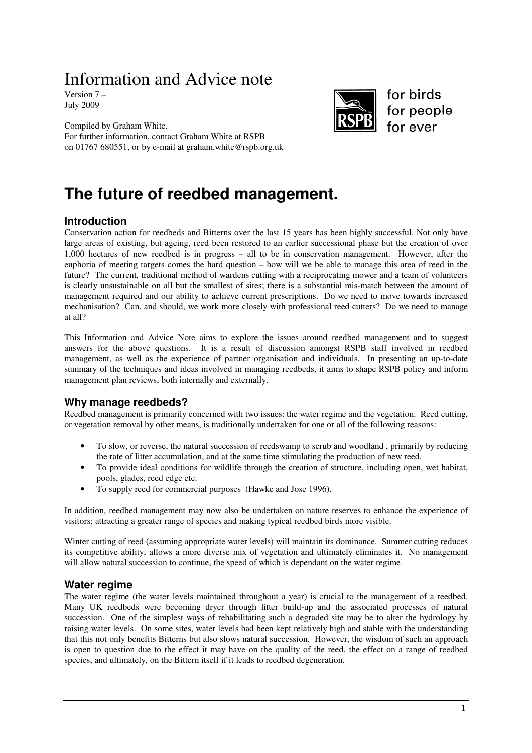# Information and Advice note

Version 7 – July 2009



for birds for people for ever

Compiled by Graham White. For further information, contact Graham White at RSPB on 01767 680551, or by e-mail at graham.white@rspb.org.uk

# **The future of reedbed management.**

# **Introduction**

Conservation action for reedbeds and Bitterns over the last 15 years has been highly successful. Not only have large areas of existing, but ageing, reed been restored to an earlier successional phase but the creation of over 1,000 hectares of new reedbed is in progress – all to be in conservation management. However, after the euphoria of meeting targets comes the hard question – how will we be able to manage this area of reed in the future? The current, traditional method of wardens cutting with a reciprocating mower and a team of volunteers is clearly unsustainable on all but the smallest of sites; there is a substantial mis-match between the amount of management required and our ability to achieve current prescriptions. Do we need to move towards increased mechanisation? Can, and should, we work more closely with professional reed cutters? Do we need to manage at all?

This Information and Advice Note aims to explore the issues around reedbed management and to suggest answers for the above questions. It is a result of discussion amongst RSPB staff involved in reedbed management, as well as the experience of partner organisation and individuals. In presenting an up-to-date summary of the techniques and ideas involved in managing reedbeds, it aims to shape RSPB policy and inform management plan reviews, both internally and externally.

# **Why manage reedbeds?**

Reedbed management is primarily concerned with two issues: the water regime and the vegetation. Reed cutting, or vegetation removal by other means, is traditionally undertaken for one or all of the following reasons:

- To slow, or reverse, the natural succession of reedswamp to scrub and woodland , primarily by reducing the rate of litter accumulation, and at the same time stimulating the production of new reed.
- To provide ideal conditions for wildlife through the creation of structure, including open, wet habitat, pools, glades, reed edge etc.
- To supply reed for commercial purposes (Hawke and Jose 1996).

In addition, reedbed management may now also be undertaken on nature reserves to enhance the experience of visitors; attracting a greater range of species and making typical reedbed birds more visible.

Winter cutting of reed (assuming appropriate water levels) will maintain its dominance. Summer cutting reduces its competitive ability, allows a more diverse mix of vegetation and ultimately eliminates it. No management will allow natural succession to continue, the speed of which is dependant on the water regime.

# **Water regime**

The water regime (the water levels maintained throughout a year) is crucial to the management of a reedbed. Many UK reedbeds were becoming dryer through litter build-up and the associated processes of natural succession. One of the simplest ways of rehabilitating such a degraded site may be to alter the hydrology by raising water levels. On some sites, water levels had been kept relatively high and stable with the understanding that this not only benefits Bitterns but also slows natural succession. However, the wisdom of such an approach is open to question due to the effect it may have on the quality of the reed, the effect on a range of reedbed species, and ultimately, on the Bittern itself if it leads to reedbed degeneration.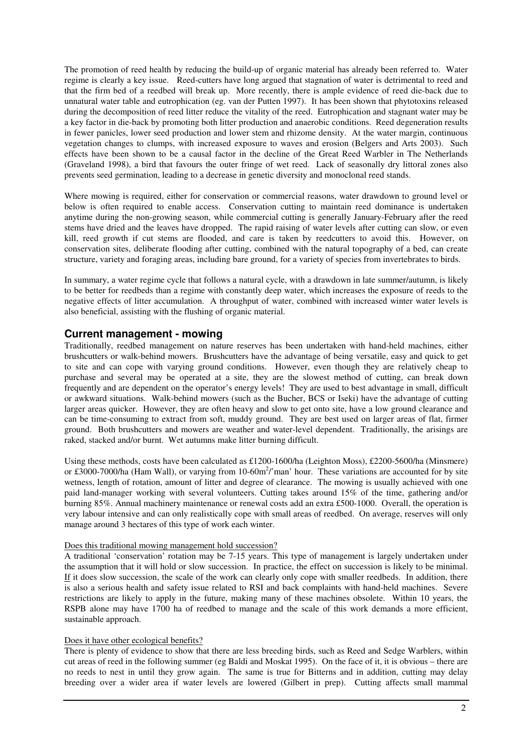The promotion of reed health by reducing the build-up of organic material has already been referred to. Water regime is clearly a key issue. Reed-cutters have long argued that stagnation of water is detrimental to reed and that the firm bed of a reedbed will break up. More recently, there is ample evidence of reed die-back due to unnatural water table and eutrophication (eg. van der Putten 1997). It has been shown that phytotoxins released during the decomposition of reed litter reduce the vitality of the reed. Eutrophication and stagnant water may be a key factor in die-back by promoting both litter production and anaerobic conditions. Reed degeneration results in fewer panicles, lower seed production and lower stem and rhizome density. At the water margin, continuous vegetation changes to clumps, with increased exposure to waves and erosion (Belgers and Arts 2003). Such effects have been shown to be a causal factor in the decline of the Great Reed Warbler in The Netherlands (Graveland 1998), a bird that favours the outer fringe of wet reed. Lack of seasonally dry littoral zones also prevents seed germination, leading to a decrease in genetic diversity and monoclonal reed stands.

Where mowing is required, either for conservation or commercial reasons, water drawdown to ground level or below is often required to enable access. Conservation cutting to maintain reed dominance is undertaken anytime during the non-growing season, while commercial cutting is generally January-February after the reed stems have dried and the leaves have dropped. The rapid raising of water levels after cutting can slow, or even kill, reed growth if cut stems are flooded, and care is taken by reedcutters to avoid this. However, on conservation sites, deliberate flooding after cutting, combined with the natural topography of a bed, can create structure, variety and foraging areas, including bare ground, for a variety of species from invertebrates to birds.

In summary, a water regime cycle that follows a natural cycle, with a drawdown in late summer/autumn, is likely to be better for reedbeds than a regime with constantly deep water, which increases the exposure of reeds to the negative effects of litter accumulation. A throughput of water, combined with increased winter water levels is also beneficial, assisting with the flushing of organic material.

# **Current management - mowing**

Traditionally, reedbed management on nature reserves has been undertaken with hand-held machines, either brushcutters or walk-behind mowers. Brushcutters have the advantage of being versatile, easy and quick to get to site and can cope with varying ground conditions. However, even though they are relatively cheap to purchase and several may be operated at a site, they are the slowest method of cutting, can break down frequently and are dependent on the operator's energy levels! They are used to best advantage in small, difficult or awkward situations. Walk-behind mowers (such as the Bucher, BCS or Iseki) have the advantage of cutting larger areas quicker. However, they are often heavy and slow to get onto site, have a low ground clearance and can be time-consuming to extract from soft, muddy ground. They are best used on larger areas of flat, firmer ground. Both brushcutters and mowers are weather and water-level dependent. Traditionally, the arisings are raked, stacked and/or burnt. Wet autumns make litter burning difficult.

Using these methods, costs have been calculated as £1200-1600/ha (Leighton Moss), £2200-5600/ha (Minsmere) or £3000-7000/ha (Ham Wall), or varying from 10-60m<sup>2</sup>/'man' hour. These variations are accounted for by site wetness, length of rotation, amount of litter and degree of clearance. The mowing is usually achieved with one paid land-manager working with several volunteers. Cutting takes around 15% of the time, gathering and/or burning 85%. Annual machinery maintenance or renewal costs add an extra £500-1000. Overall, the operation is very labour intensive and can only realistically cope with small areas of reedbed. On average, reserves will only manage around 3 hectares of this type of work each winter.

## Does this traditional mowing management hold succession?

A traditional 'conservation' rotation may be 7-15 years. This type of management is largely undertaken under the assumption that it will hold or slow succession. In practice, the effect on succession is likely to be minimal. If it does slow succession, the scale of the work can clearly only cope with smaller reedbeds. In addition, there is also a serious health and safety issue related to RSI and back complaints with hand-held machines. Severe restrictions are likely to apply in the future, making many of these machines obsolete. Within 10 years, the RSPB alone may have 1700 ha of reedbed to manage and the scale of this work demands a more efficient, sustainable approach.

## Does it have other ecological benefits?

There is plenty of evidence to show that there are less breeding birds, such as Reed and Sedge Warblers, within cut areas of reed in the following summer (eg Baldi and Moskat 1995). On the face of it, it is obvious – there are no reeds to nest in until they grow again. The same is true for Bitterns and in addition, cutting may delay breeding over a wider area if water levels are lowered (Gilbert in prep). Cutting affects small mammal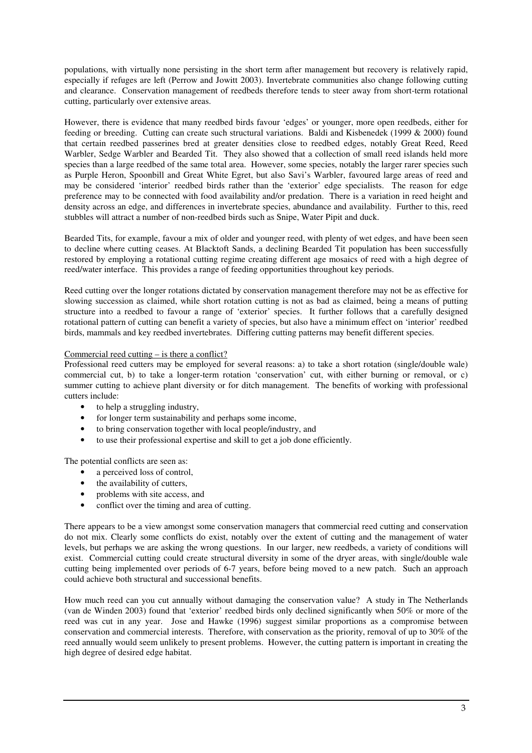populations, with virtually none persisting in the short term after management but recovery is relatively rapid, especially if refuges are left (Perrow and Jowitt 2003). Invertebrate communities also change following cutting and clearance. Conservation management of reedbeds therefore tends to steer away from short-term rotational cutting, particularly over extensive areas.

However, there is evidence that many reedbed birds favour 'edges' or younger, more open reedbeds, either for feeding or breeding. Cutting can create such structural variations. Baldi and Kisbenedek (1999 & 2000) found that certain reedbed passerines bred at greater densities close to reedbed edges, notably Great Reed, Reed Warbler, Sedge Warbler and Bearded Tit. They also showed that a collection of small reed islands held more species than a large reedbed of the same total area. However, some species, notably the larger rarer species such as Purple Heron, Spoonbill and Great White Egret, but also Savi's Warbler, favoured large areas of reed and may be considered 'interior' reedbed birds rather than the 'exterior' edge specialists. The reason for edge preference may to be connected with food availability and/or predation. There is a variation in reed height and density across an edge, and differences in invertebrate species, abundance and availability. Further to this, reed stubbles will attract a number of non-reedbed birds such as Snipe, Water Pipit and duck.

Bearded Tits, for example, favour a mix of older and younger reed, with plenty of wet edges, and have been seen to decline where cutting ceases. At Blacktoft Sands, a declining Bearded Tit population has been successfully restored by employing a rotational cutting regime creating different age mosaics of reed with a high degree of reed/water interface. This provides a range of feeding opportunities throughout key periods.

Reed cutting over the longer rotations dictated by conservation management therefore may not be as effective for slowing succession as claimed, while short rotation cutting is not as bad as claimed, being a means of putting structure into a reedbed to favour a range of 'exterior' species. It further follows that a carefully designed rotational pattern of cutting can benefit a variety of species, but also have a minimum effect on 'interior' reedbed birds, mammals and key reedbed invertebrates. Differing cutting patterns may benefit different species.

### Commercial reed cutting – is there a conflict?

Professional reed cutters may be employed for several reasons: a) to take a short rotation (single/double wale) commercial cut, b) to take a longer-term rotation 'conservation' cut, with either burning or removal, or c) summer cutting to achieve plant diversity or for ditch management. The benefits of working with professional cutters include:

- to help a struggling industry,
- for longer term sustainability and perhaps some income,
- to bring conservation together with local people/industry, and
- to use their professional expertise and skill to get a job done efficiently.

The potential conflicts are seen as:

- a perceived loss of control,
- the availability of cutters,
- problems with site access, and
- conflict over the timing and area of cutting.

There appears to be a view amongst some conservation managers that commercial reed cutting and conservation do not mix. Clearly some conflicts do exist, notably over the extent of cutting and the management of water levels, but perhaps we are asking the wrong questions. In our larger, new reedbeds, a variety of conditions will exist. Commercial cutting could create structural diversity in some of the dryer areas, with single/double wale cutting being implemented over periods of 6-7 years, before being moved to a new patch. Such an approach could achieve both structural and successional benefits.

How much reed can you cut annually without damaging the conservation value? A study in The Netherlands (van de Winden 2003) found that 'exterior' reedbed birds only declined significantly when 50% or more of the reed was cut in any year. Jose and Hawke (1996) suggest similar proportions as a compromise between conservation and commercial interests. Therefore, with conservation as the priority, removal of up to 30% of the reed annually would seem unlikely to present problems. However, the cutting pattern is important in creating the high degree of desired edge habitat.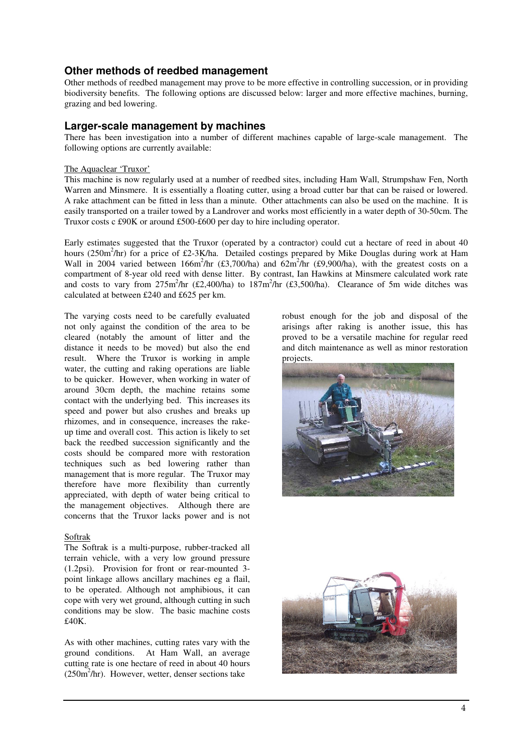# **Other methods of reedbed management**

Other methods of reedbed management may prove to be more effective in controlling succession, or in providing biodiversity benefits. The following options are discussed below: larger and more effective machines, burning, grazing and bed lowering.

# **Larger-scale management by machines**

There has been investigation into a number of different machines capable of large-scale management. The following options are currently available:

#### The Aquaclear 'Truxor'

This machine is now regularly used at a number of reedbed sites, including Ham Wall, Strumpshaw Fen, North Warren and Minsmere. It is essentially a floating cutter, using a broad cutter bar that can be raised or lowered. A rake attachment can be fitted in less than a minute. Other attachments can also be used on the machine. It is easily transported on a trailer towed by a Landrover and works most efficiently in a water depth of 30-50cm. The Truxor costs c £90K or around £500-£600 per day to hire including operator.

Early estimates suggested that the Truxor (operated by a contractor) could cut a hectare of reed in about 40 hours (250m<sup>2</sup>/hr) for a price of £2-3K/ha. Detailed costings prepared by Mike Douglas during work at Ham Wall in 2004 varied between  $166m^2/hr$  (£3,700/ha) and  $62m^2/hr$  (£9,900/ha), with the greatest costs on a compartment of 8-year old reed with dense litter. By contrast, Ian Hawkins at Minsmere calculated work rate and costs to vary from  $275m^2/hr$  (£2,400/ha) to  $187m^2/hr$  (£3,500/ha). Clearance of 5m wide ditches was calculated at between £240 and £625 per km.

The varying costs need to be carefully evaluated not only against the condition of the area to be cleared (notably the amount of litter and the distance it needs to be moved) but also the end result. Where the Truxor is working in ample water, the cutting and raking operations are liable to be quicker. However, when working in water of around 30cm depth, the machine retains some contact with the underlying bed. This increases its speed and power but also crushes and breaks up rhizomes, and in consequence, increases the rakeup time and overall cost. This action is likely to set back the reedbed succession significantly and the costs should be compared more with restoration techniques such as bed lowering rather than management that is more regular. The Truxor may therefore have more flexibility than currently appreciated, with depth of water being critical to the management objectives. Although there are concerns that the Truxor lacks power and is not

#### Softrak

The Softrak is a multi-purpose, rubber-tracked all terrain vehicle, with a very low ground pressure (1.2psi). Provision for front or rear-mounted 3 point linkage allows ancillary machines eg a flail, to be operated. Although not amphibious, it can cope with very wet ground, although cutting in such conditions may be slow. The basic machine costs £40K.

As with other machines, cutting rates vary with the ground conditions. At Ham Wall, an average cutting rate is one hectare of reed in about 40 hours  $(250m^2/hr)$ . However, wetter, denser sections take

robust enough for the job and disposal of the arisings after raking is another issue, this has proved to be a versatile machine for regular reed and ditch maintenance as well as minor restoration projects.



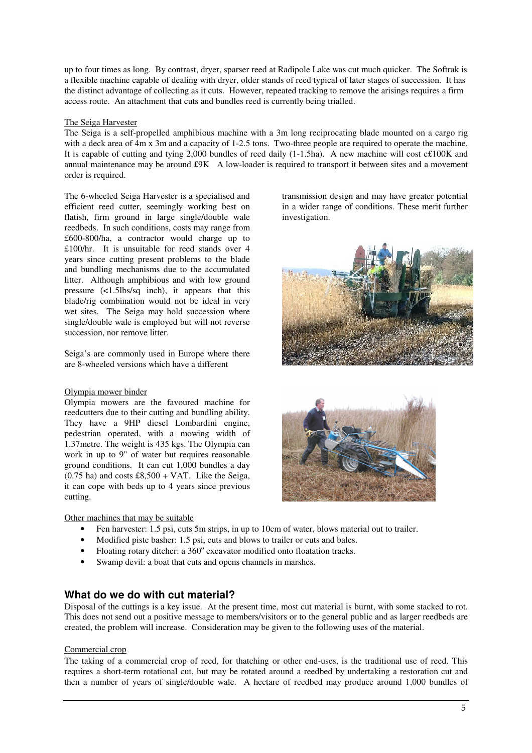up to four times as long. By contrast, dryer, sparser reed at Radipole Lake was cut much quicker. The Softrak is a flexible machine capable of dealing with dryer, older stands of reed typical of later stages of succession. It has the distinct advantage of collecting as it cuts. However, repeated tracking to remove the arisings requires a firm access route. An attachment that cuts and bundles reed is currently being trialled.

#### The Seiga Harvester

The Seiga is a self-propelled amphibious machine with a 3m long reciprocating blade mounted on a cargo rig with a deck area of 4m x 3m and a capacity of 1-2.5 tons. Two-three people are required to operate the machine. It is capable of cutting and tying 2,000 bundles of reed daily (1-1.5ha). A new machine will cost c£100K and annual maintenance may be around £9K A low-loader is required to transport it between sites and a movement order is required.

The 6-wheeled Seiga Harvester is a specialised and efficient reed cutter, seemingly working best on flatish, firm ground in large single/double wale reedbeds. In such conditions, costs may range from £600-800/ha, a contractor would charge up to £100/hr. It is unsuitable for reed stands over 4 years since cutting present problems to the blade and bundling mechanisms due to the accumulated litter. Although amphibious and with low ground pressure (<1.5lbs/sq inch), it appears that this blade/rig combination would not be ideal in very wet sites. The Seiga may hold succession where single/double wale is employed but will not reverse succession, nor remove litter.

Seiga's are commonly used in Europe where there are 8-wheeled versions which have a different

#### Olympia mower binder

Olympia mowers are the favoured machine for reedcutters due to their cutting and bundling ability. They have a 9HP diesel Lombardini engine, pedestrian operated, with a mowing width of 1.37metre. The weight is 435 kgs. The Olympia can work in up to 9" of water but requires reasonable ground conditions. It can cut 1,000 bundles a day  $(0.75 \text{ ha})$  and costs £8,500 + VAT. Like the Seiga, it can cope with beds up to 4 years since previous cutting.

Other machines that may be suitable

- Fen harvester: 1.5 psi, cuts 5m strips, in up to 10cm of water, blows material out to trailer.
- Modified piste basher: 1.5 psi, cuts and blows to trailer or cuts and bales.
- Floating rotary ditcher: a 360° excavator modified onto floatation tracks.
- Swamp devil: a boat that cuts and opens channels in marshes.

## **What do we do with cut material?**

Disposal of the cuttings is a key issue. At the present time, most cut material is burnt, with some stacked to rot. This does not send out a positive message to members/visitors or to the general public and as larger reedbeds are created, the problem will increase. Consideration may be given to the following uses of the material.

#### Commercial crop

The taking of a commercial crop of reed, for thatching or other end-uses, is the traditional use of reed. This requires a short-term rotational cut, but may be rotated around a reedbed by undertaking a restoration cut and then a number of years of single/double wale. A hectare of reedbed may produce around 1,000 bundles of

transmission design and may have greater potential in a wider range of conditions. These merit further investigation.



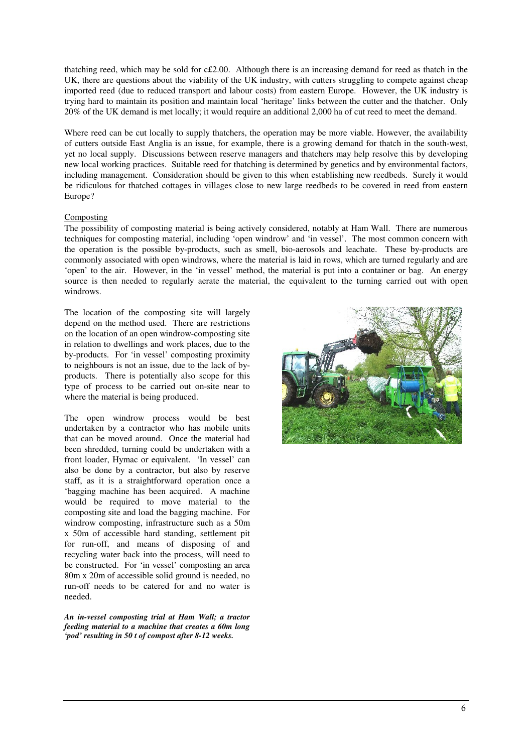thatching reed, which may be sold for c£2.00. Although there is an increasing demand for reed as thatch in the UK, there are questions about the viability of the UK industry, with cutters struggling to compete against cheap imported reed (due to reduced transport and labour costs) from eastern Europe. However, the UK industry is trying hard to maintain its position and maintain local 'heritage' links between the cutter and the thatcher. Only 20% of the UK demand is met locally; it would require an additional 2,000 ha of cut reed to meet the demand.

Where reed can be cut locally to supply thatchers, the operation may be more viable. However, the availability of cutters outside East Anglia is an issue, for example, there is a growing demand for thatch in the south-west, yet no local supply. Discussions between reserve managers and thatchers may help resolve this by developing new local working practices. Suitable reed for thatching is determined by genetics and by environmental factors, including management. Consideration should be given to this when establishing new reedbeds. Surely it would be ridiculous for thatched cottages in villages close to new large reedbeds to be covered in reed from eastern Europe?

#### Composting

The possibility of composting material is being actively considered, notably at Ham Wall. There are numerous techniques for composting material, including 'open windrow' and 'in vessel'. The most common concern with the operation is the possible by-products, such as smell, bio-aerosols and leachate. These by-products are commonly associated with open windrows, where the material is laid in rows, which are turned regularly and are 'open' to the air. However, in the 'in vessel' method, the material is put into a container or bag. An energy source is then needed to regularly aerate the material, the equivalent to the turning carried out with open windrows.

The location of the composting site will largely depend on the method used. There are restrictions on the location of an open windrow-composting site in relation to dwellings and work places, due to the by-products. For 'in vessel' composting proximity to neighbours is not an issue, due to the lack of byproducts. There is potentially also scope for this type of process to be carried out on-site near to where the material is being produced.

The open windrow process would be best undertaken by a contractor who has mobile units that can be moved around. Once the material had been shredded, turning could be undertaken with a front loader, Hymac or equivalent. 'In vessel' can also be done by a contractor, but also by reserve staff, as it is a straightforward operation once a 'bagging machine has been acquired. A machine would be required to move material to the composting site and load the bagging machine. For windrow composting, infrastructure such as a 50m x 50m of accessible hard standing, settlement pit for run-off, and means of disposing of and recycling water back into the process, will need to be constructed. For 'in vessel' composting an area 80m x 20m of accessible solid ground is needed, no run-off needs to be catered for and no water is needed.

*An in-vessel composting trial at Ham Wall; a tractor feeding material to a machine that creates a 60m long 'pod' resulting in 50 t of compost after 8-12 weeks.*

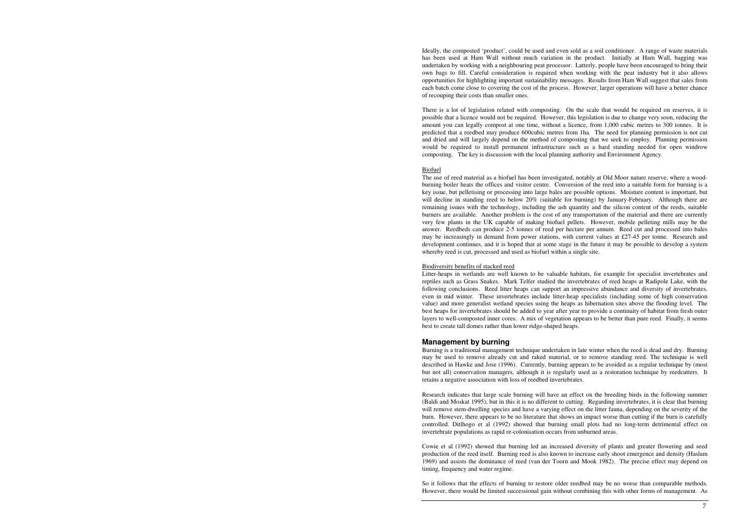Ideally, the composted 'product', could be used and even sold as a soil conditioner. A range of waste materials has been used at Ham Wall without much variation in the product. Initially at Ham Wall, bagging was undertaken by working with a neighbouring peat processor. Latterly, people have been encouraged to bring their own bags to fill. Careful consideration is required when working with the peat industry but it also allows opportunities for highlighting important sustainability messages. Results from Ham Wall suggest that sales from each batch come close to covering the cost of the process. However, larger operations will have a better chance of recouping their costs than smaller ones.

There is a lot of legislation related with composting. On the scale that would be required on reserves, it is possible that a licence would not be required. However, this legislation is due to change very soon, reducing the amount you can legally compost at one time, without a licence, from 1,000 cubic metres to 300 tonnes. It is predicted that a reedbed may produce 600cubic metres from 1ha. The need for planning permission is not cut and dried and will largely depend on the method of composting that we seek to employ. Planning permission would be required to install permanent infrastructure such as a hard standing needed for open windrow composting. The key is discussion with the local planning authority and Environment Agency.

#### Biofuel

 The use of reed material as a biofuel has been investigated, notably at Old Moor nature reserve, where a woodburning boiler heats the offices and visitor centre. Conversion of the reed into a suitable form for burning is a key issue, but pelletising or processing into large bales are possible options. Moisture content is important, but will decline in standing reed to below 20% (suitable for burning) by January-February. Although there are remaining issues with the technology, including the ash quantity and the silicon content of the reeds, suitable burners are available. Another problem is the cost of any transportation of the material and there are currently very few plants in the UK capable of making biofuel pellets. However, mobile pelleting mills may be the answer. Reedbeds can produce 2-5 tonnes of reed per hectare per annum. Reed cut and processed into bales may be increasingly in demand from power stations, with current values at £27-45 per tonne. Research and development continues, and it is hoped that at some stage in the future it may be possible to develop a system whereby reed is cut, processed and used as biofuel within a single site.

#### Biodiversity benefits of stacked reed

 Litter-heaps in wetlands are well known to be valuable habitats, for example for specialist invertebrates and reptiles such as Grass Snakes. Mark Telfer studied the invertebrates of reed heaps at Radipole Lake, with the following conclusions. Reed litter heaps can support an impressive abundance and diversity of invertebrates, even in mid winter. These invertebrates include litter-heap specialists (including some of high conservation value) and more generalist wetland species using the heaps as hibernation sites above the flooding level. The best heaps for invertebrates should be added to year after year to provide a continuity of habitat from fresh outer layers to well-composted inner cores. A mix of vegetation appears to be better than pure reed. Finally, it seems best to create tall domes rather than lower ridge-shaped heaps.

#### **Management by burning**

 Burning is a traditional management technique undertaken in late winter when the reed is dead and dry. Burning may be used to remove already cut and raked material, or to remove standing reed. The technique is well described in Hawke and Jose (1996). Currently, burning appears to be avoided as a regular technique by (most but not all) conservation managers, although it is regularly used as a restoration technique by reedcutters. It retains a negative association with loss of reedbed invertebrates.

Research indicates that large scale burning will have an effect on the breeding birds in the following summer (Baldi and Moskat 1995), but in this it is no different to cutting. Regarding invertebrates, it is clear that burning will remove stem-dwelling species and have a varying effect on the litter fauna, depending on the severity of the burn. However, there appears to be no literature that shows an impact worse than cutting if the burn is carefully controlled. Ditlhogo et al (1992) showed that burning small plots had no long-term detrimental effect on invertebrate populations as rapid re-colonisation occurs from unburned areas.

Cowie et al (1992) showed that burning led an increased diversity of plants and greater flowering and seed production of the reed itself. Burning reed is also known to increase early shoot emergence and density (Haslam 1969) and assists the dominance of reed (van der Toorn and Mook 1982). The precise effect may depend on timing, frequency and water regime.

So it follows that the effects of burning to restore older reedbed may be no worse than comparable methods. However, there would be limited successional gain without combining this with other forms of management. As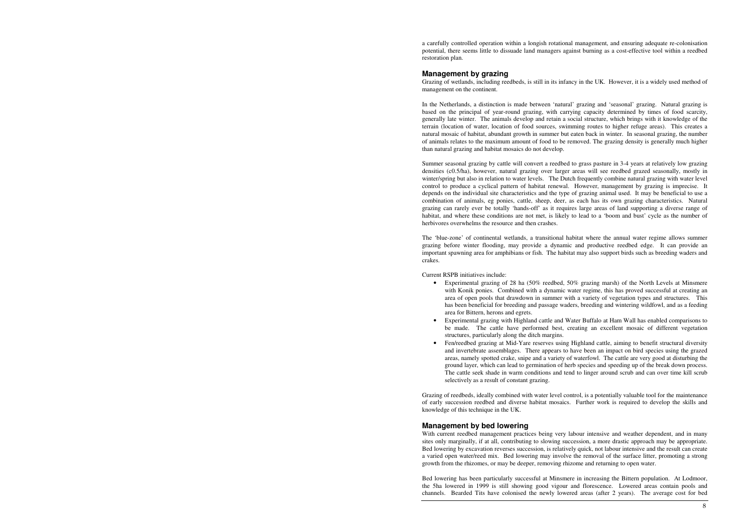a carefully controlled operation within a longish rotational management, and ensuring adequate re-colonisation potential, there seems little to dissuade land managers against burning as a cost-effective tool within a reedbed restoration plan.

#### **Management by grazing**

 Grazing of wetlands, including reedbeds, is still in its infancy in the UK. However, it is a widely used method of management on the continent.

In the Netherlands, a distinction is made between 'natural' grazing and 'seasonal' grazing. Natural grazing is based on the principal of year-round grazing, with carrying capacity determined by times of food scarcity, generally late winter. The animals develop and retain a social structure, which brings with it knowledge of the terrain (location of water, location of food sources, swimming routes to higher refuge areas). This creates a natural mosaic of habitat, abundant growth in summer but eaten back in winter. In seasonal grazing, the number of animals relates to the maximum amount of food to be removed. The grazing density is generally much higher than natural grazing and habitat mosaics do not develop.

Summer seasonal grazing by cattle will convert a reedbed to grass pasture in 3-4 years at relatively low grazing densities (c0.5/ha), however, natural grazing over larger areas will see reedbed grazed seasonally, mostly in winter/spring but also in relation to water levels. The Dutch frequently combine natural grazing with water level control to produce a cyclical pattern of habitat renewal. However, management by grazing is imprecise. It depends on the individual site characteristics and the type of grazing animal used. It may be beneficial to use a combination of animals, eg ponies, cattle, sheep, deer, as each has its own grazing characteristics. Natural grazing can rarely ever be totally 'hands-off' as it requires large areas of land supporting a diverse range of habitat, and where these conditions are not met, is likely to lead to a 'boom and bust' cycle as the number of herbivores overwhelms the resource and then crashes.

The 'blue-zone' of continental wetlands, a transitional habitat where the annual water regime allows summer grazing before winter flooding, may provide a dynamic and productive reedbed edge. It can provide an important spawning area for amphibians or fish. The habitat may also support birds such as breeding waders and crakes.

Current RSPB initiatives include:

• Experimental grazing of 28 ha (50% reedbed, 50% grazing marsh) of the North Levels at Minsmere with Konik ponies. Combined with a dynamic water regime, this has proved successful at creating an area of open pools that drawdown in summer with a variety of vegetation types and structures. This has been beneficial for breeding and passage waders, breeding and wintering wildfowl, and as a feeding

 • Experimental grazing with Highland cattle and Water Buffalo at Ham Wall has enabled comparisons to be made. The cattle have performed best, creating an excellent mosaic of different vegetation

- area for Bittern, herons and egrets.
- structures, particularly along the ditch margins.
- selectively as a result of constant grazing.

 • Fen/reedbed grazing at Mid-Yare reserves using Highland cattle, aiming to benefit structural diversity and invertebrate assemblages. There appears to have been an impact on bird species using the grazed areas, namely spotted crake, snipe and a variety of waterfowl. The cattle are very good at disturbing the ground layer, which can lead to germination of herb species and speeding up of the break down process.The cattle seek shade in warm conditions and tend to linger around scrub and can over time kill scrub

Grazing of reedbeds, ideally combined with water level control, is a potentially valuable tool for the maintenance of early succession reedbed and diverse habitat mosaics. Further work is required to develop the skills and knowledge of this technique in the UK.

### **Management by bed lowering**

 With current reedbed management practices being very labour intensive and weather dependent, and in many sites only marginally, if at all, contributing to slowing succession, a more drastic approach may be appropriate. Bed lowering by excavation reverses succession, is relatively quick, not labour intensive and the result can create a varied open water/reed mix. Bed lowering may involve the removal of the surface litter, promoting a strong growth from the rhizomes, or may be deeper, removing rhizome and returning to open water.

Bed lowering has been particularly successful at Minsmere in increasing the Bittern population. At Lodmoor, the 5ha lowered in 1999 is still showing good vigour and florescence. Lowered areas contain pools andchannels. Bearded Tits have colonised the newly lowered areas (after 2 years). The average cost for bed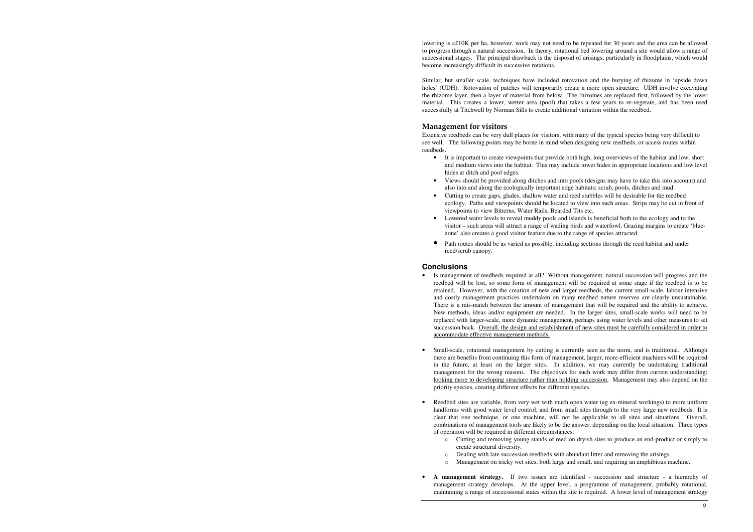lowering is c£10K per ha, however, work may not need to be repeated for 30 years and the area can be allowed to progress through a natural succession. In theory, rotational bed lowering around a site would allow a range of successional stages. The principal drawback is the disposal of arisings, particularly in floodplains, which would become increasingly difficult in successive rotations.

Similar, but smaller scale, techniques have included rotovation and the burying of rhizome in 'upside down holes' (UDH). Rotovation of patches will temporarily create a more open structure. UDH involve excavating the rhizome layer, then a layer of material from below. The rhizomes are replaced first, followed by the lower material. This creates a lower, wetter area (pool) that takes a few years to re-vegetate, and has been used successfully at Titchwell by Norman Sills to create additional variation within the reedbed.

## Management for visitors

Extensive reedbeds can be very dull places for visitors, with many of the typical species being very difficult to see well. The following points may be borne in mind when designing new reedbeds, or access routes within reedbeds.

reedbed will be lost, so some form of management will be required at some stage if the reedbed is to be retained. However, with the creation of new and larger reedbeds, the current small-scale, labour intensive and costly management practices undertaken on many reedbed nature reserves are clearly unsustainable. There is a mis-match between the amount of management that will be required and the ability to achieve. New methods, ideas and/or equipment are needed. In the larger sites, small-scale works will need to be replaced with larger-scale, more dynamic management, perhaps using water levels and other measures to set succession back. Overall, the design and establishment of new sites must be carefully considered in order to

• It is important to create viewpoints that provide both high, long overviews of the habitat and low, short and medium views into the habitat. This may include tower hides in appropriate locations and low level

• Views should be provided along ditches and into pools (designs may have to take this into account) and

 Small-scale, rotational management by cutting is currently seen as the norm, and is traditional. Although there are benefits from continuing this form of management, larger, more-efficient machines will be required in the future, at least on the larger sites. In addition, we may currently be undertaking traditional management for the wrong reasons. The objectives for such work may differ from current understanding;looking more to developing structure rather than holding succession. Management may also depend on the

ecology. Paths and viewpoints should be located to view into such areas. Strips may be cut in front of

- hides at ditch and pool edges.
- also into and along the ecologically important edge habitats; scrub, pools, ditches and mud.
- Cutting to create gaps, glades, shallow water and reed stubbles will be desirable for the reedbed viewpoints to view Bitterns, Water Rails, Bearded Tits etc.
- Lowered water levels to reveal muddy pools and islands is beneficial both to the ecology and to the zone' also creates a good visitor feature due to the range of species attracted.
- Path routes should be as varied as possible, including sections through the reed habitat and under reed/scrub canopy.

visitor – such areas will attract a range of wading birds and waterfowl. Grazing margins to create 'blue-

#### **Conclusions**

- Is management of reedbeds required at all? Without management, natural succession will progress and the accommodate effective management methods.
- •priority species, creating different effects for different species.
- • Reedbed sites are variable, from very wet with much open water (eg ex-mineral workings) to more uniform of operation will be required in different circumstances:
	- o Cutting and removing young stands of reed on dryish sites to produce an end-product or simply to create structural diversity.
	-
	- o Management on tricky wet sites, both large and small, and requiring an amphibious machine.
- **A management strategy.** If two issues are identified succession and structure a hierarchy of management strategy develops. At the upper level, a programme of management, probably rotational,

landforms with good water level control, and from small sites through to the very large new reedbeds. It is clear that one technique, or one machine, will not be applicable to all sites and situations. Overall, combinations of management tools are likely to be the answer, depending on the local situation. Three types

o Dealing with late succession reedbeds with abundant litter and removing the arisings.

maintaining a range of successional states within the site is required. A lower level of management strategy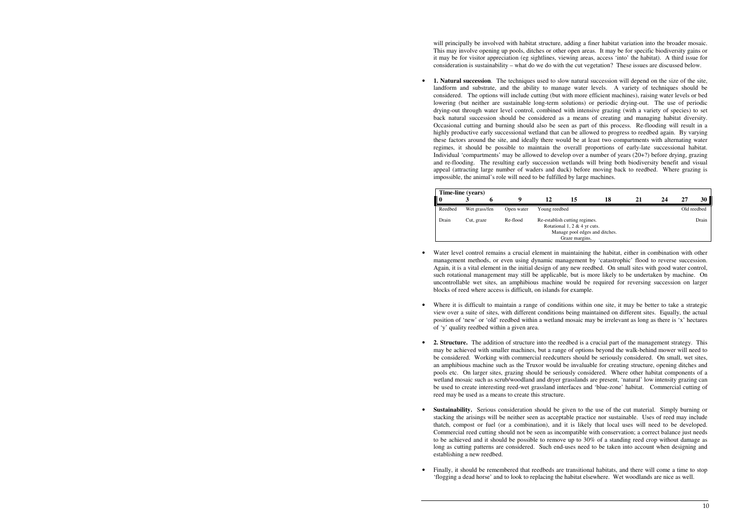will principally be involved with habitat structure, adding a finer habitat variation into the broader mosaic. This may involve opening up pools, ditches or other open areas. It may be for specific biodiversity gains or it may be for visitor appreciation (eg sightlines, viewing areas, access 'into' the habitat). A third issue for consideration is sustainability – what do we do with the cut vegetation? These issues are discussed below.

• **1. Natural succession**. The techniques used to slow natural succession will depend on the size of the site, impossible, the animal's role will need to be fulfilled by large machines.

landform and substrate, and the ability to manage water levels. A variety of techniques should be considered. The options will include cutting (but with more efficient machines), raising water levels or bed lowering (but neither are sustainable long-term solutions) or periodic drying-out. The use of periodic drying-out through water level control, combined with intensive grazing (with a variety of species) to set back natural succession should be considered as a means of creating and managing habitat diversity. Occasional cutting and burning should also be seen as part of this process. Re-flooding will result in a highly productive early successional wetland that can be allowed to progress to reedbed again. By varying these factors around the site, and ideally there would be at least two compartments with alternating water regimes, it should be possible to maintain the overall proportions of early-late successional habitat. Individual 'compartments' may be allowed to develop over a number of years (20+?) before drying, grazing and re-flooding. The resulting early succession wetlands will bring both biodiversity benefit and visual appeal (attracting large number of waders and duck) before moving back to reedbed. Where grazing is

Where it is difficult to maintain a range of conditions within one site, it may be better to take a strategic view over a suite of sites, with different conditions being maintained on different sites. Equally, the actual position of 'new' or 'old' reedbed within a wetland mosaic may be irrelevant as long as there is 'x' hectares

| Time-line (years) |                        |  |            |                                                                                                                   |    |  |    |       |             |    |  |
|-------------------|------------------------|--|------------|-------------------------------------------------------------------------------------------------------------------|----|--|----|-------|-------------|----|--|
|                   | A.                     |  | q          | 12                                                                                                                | 15 |  | 21 | 24    |             | 30 |  |
| Reedbed           | Wet grass/fen          |  | Open water | Young reedbed                                                                                                     |    |  |    |       | Old reedbed |    |  |
| Drain             | Re-flood<br>Cut, graze |  |            | Re-establish cutting regimes.<br>Rotational 1, 2 & 4 yr cuts.<br>Manage pool edges and ditches.<br>Graze margins. |    |  |    | Drain |             |    |  |

management methods, or even using dynamic management by 'catastrophic' flood to reverse succession. Again, it is a vital element in the initial design of any new reedbed. On small sites with good water control, such rotational management may still be applicable, but is more likely to be undertaken by machine. On uncontrollable wet sites, an amphibious machine would be required for reversing succession on larger

- Water level control remains a crucial element in maintaining the habitat, either in combination with other blocks of reed where access is difficult, on islands for example.
- •of 'y' quality reedbed within a given area.
- **2. Structure.** The addition of structure into the reedbed is a crucial part of the management strategy. This reed may be used as a means to create this structure.
- • **Sustainability.** Serious consideration should be given to the use of the cut material. Simply burning or long as cutting patterns are considered. Such end-uses need to be taken into account when designing and establishing a new reedbed.
- • Finally, it should be remembered that reedbeds are transitional habitats, and there will come a time to stop 'flogging a dead horse' and to look to replacing the habitat elsewhere. Wet woodlands are nice as well.

may be achieved with smaller machines, but a range of options beyond the walk-behind mower will need to be considered. Working with commercial reedcutters should be seriously considered. On small, wet sites, an amphibious machine such as the Truxor would be invaluable for creating structure, opening ditches and pools etc. On larger sites, grazing should be seriously considered. Where other habitat components of a wetland mosaic such as scrub/woodland and dryer grasslands are present, 'natural' low intensity grazing can be used to create interesting reed-wet grassland interfaces and 'blue-zone' habitat. Commercial cutting of

stacking the arisings will be neither seen as acceptable practice nor sustainable. Uses of reed may include thatch, compost or fuel (or a combination), and it is likely that local uses will need to be developed. Commercial reed cutting should not be seen as incompatible with conservation; a correct balance just needs to be achieved and it should be possible to remove up to 30% of a standing reed crop without damage as